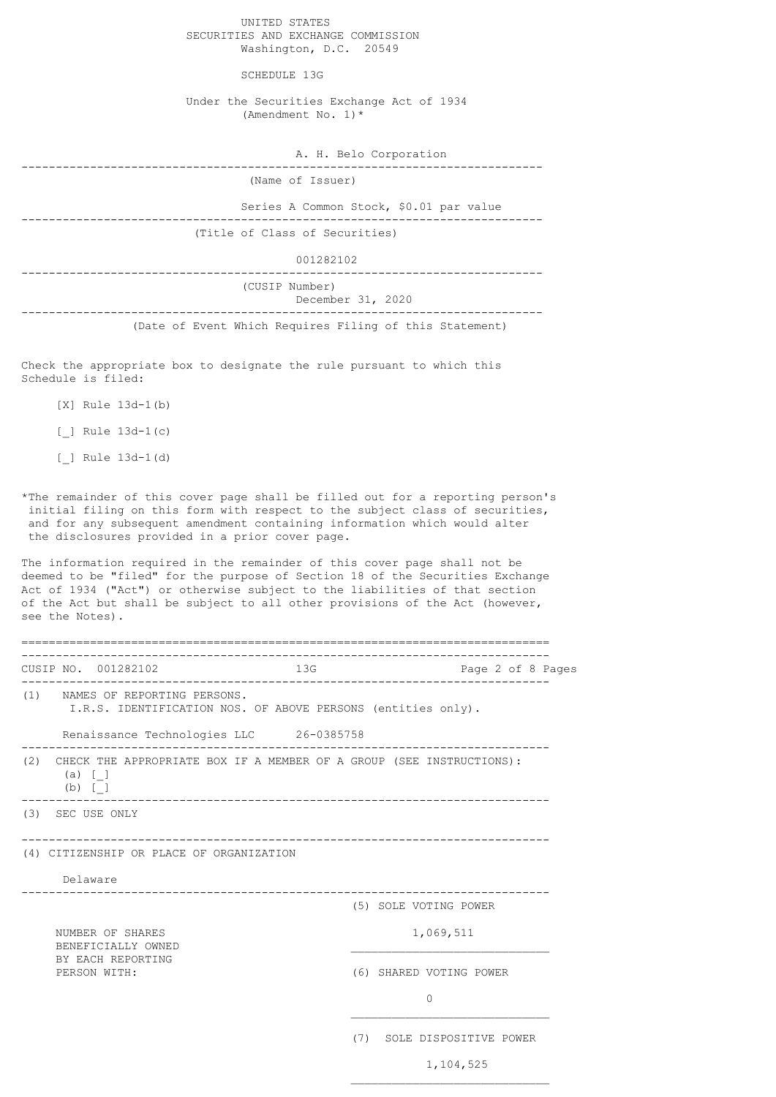UNITED STATES SECURITIES AND EXCHANGE COMMISSION Washington, D.C. 20549

SCHEDULE 13G

Under the Securities Exchange Act of 1934 (Amendment No. 1)\*

A. H. Belo Corporation

---------------------------------------------------------------------------- (Name of Issuer)

 Series A Common Stock, \$0.01 par value ---------------------------------------------------------------------------- (Title of Class of Securities)

001282102

----------------------------------------------------------------------------

(CUSIP Number)

 December 31, 2020 ----------------------------------------------------------------------------

(Date of Event Which Requires Filing of this Statement)

Check the appropriate box to designate the rule pursuant to which this Schedule is filed:

[X] Rule 13d-1(b)

[\_] Rule 13d-1(c)

[\_] Rule 13d-1(d)

\*The remainder of this cover page shall be filled out for a reporting person's initial filing on this form with respect to the subject class of securities, and for any subsequent amendment containing information which would alter the disclosures provided in a prior cover page.

The information required in the remainder of this cover page shall not be deemed to be "filed" for the purpose of Section 18 of the Securities Exchange Act of 1934 ("Act") or otherwise subject to the liabilities of that section of the Act but shall be subject to all other provisions of the Act (however, see the Notes).

============================================================================= ----------------------------------------------------------------------------- CUSIP NO. 001282102 13G Page 2 of 8 Pages ----------------------------------------------------------------------------- (1) NAMES OF REPORTING PERSONS. I.R.S. IDENTIFICATION NOS. OF ABOVE PERSONS (entities only). Renaissance Technologies LLC 26-0385758 ----------------------------------------------------------------------------- (2) CHECK THE APPROPRIATE BOX IF A MEMBER OF A GROUP (SEE INSTRUCTIONS): (a) [\_] (b) [\_]<br>\_\_\_\_\_\_\_\_\_\_\_\_\_ ----------------------------------------------------------------------------- (3) SEC USE ONLY ----------------------------------------------------------------------------- (4) CITIZENSHIP OR PLACE OF ORGANIZATION Delaware ----------------------------------------------------------------------------- (5) SOLE VOTING POWER NUMBER OF SHARES 1,069,511 BENEFICIALLY OWNED BY EACH REPORTING PERSON WITH:  $(6)$  SHARED VOTING POWER 0  $\mathcal{L}_\text{max}$ (7) SOLE DISPOSITIVE POWER

 $\mathcal{L}_\text{max}$ 

1,104,525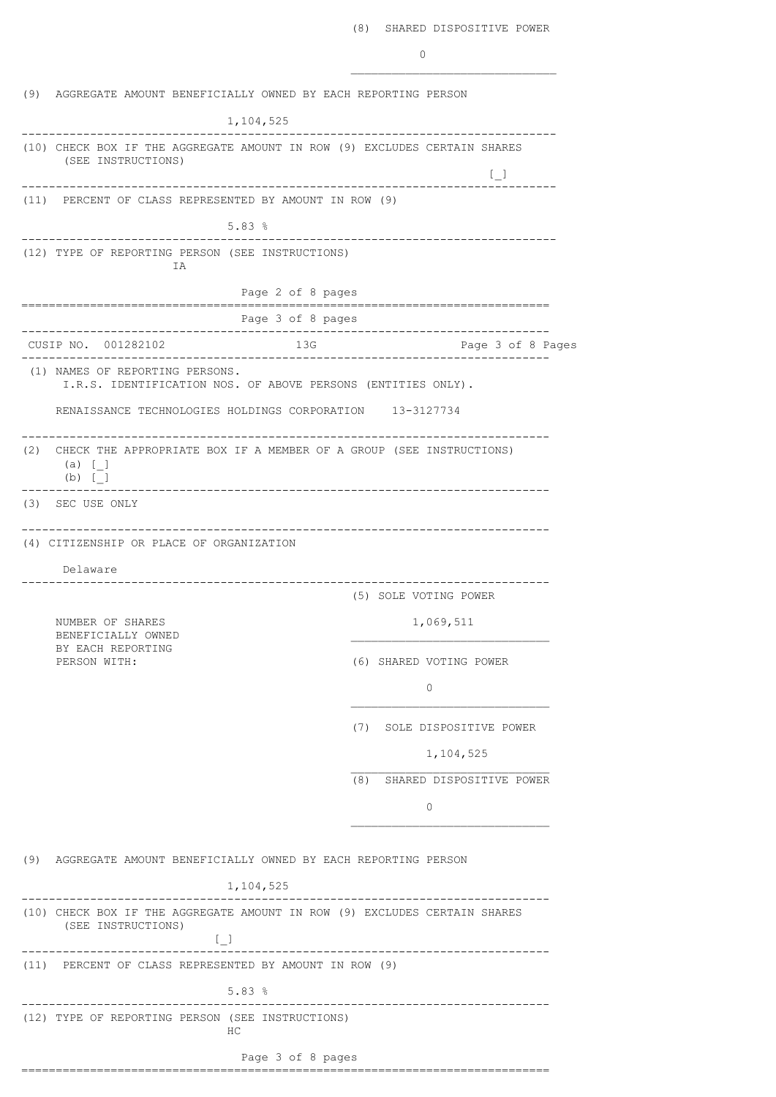$\mathcal{L}_\text{max}$ 

(9) AGGREGATE AMOUNT BENEFICIALLY OWNED BY EACH REPORTING PERSON 1,104,525 ------------------------------------------------------------------------------ (10) CHECK BOX IF THE AGGREGATE AMOUNT IN ROW (9) EXCLUDES CERTAIN SHARES (SEE INSTRUCTIONS)  $\Box$ ------------------------------------------------------------------------------ (11) PERCENT OF CLASS REPRESENTED BY AMOUNT IN ROW (9) 5.83 % ------------------------------------------------------------------------------ (12) TYPE OF REPORTING PERSON (SEE INSTRUCTIONS) IA Page 2 of 8 pages ============================================================================= Page 3 of 8 pages ----------------------------------------------------------------------------- CUSIP NO. 001282102 13G Page 3 of 8 Pages ----------------------------------------------------------------------------- (1) NAMES OF REPORTING PERSONS. I.R.S. IDENTIFICATION NOS. OF ABOVE PERSONS (ENTITIES ONLY). RENAISSANCE TECHNOLOGIES HOLDINGS CORPORATION 13-3127734 ----------------------------------------------------------------------------- (2) CHECK THE APPROPRIATE BOX IF A MEMBER OF A GROUP (SEE INSTRUCTIONS) (a) [\_] (b)  $[-]$ ----------------------------------------------------------------------------- (3) SEC USE ONLY ----------------------------------------------------------------------------- (4) CITIZENSHIP OR PLACE OF ORGANIZATION Delaware ----------------------------------------------------------------------------- (5) SOLE VOTING POWER NUMBER OF SHARES 1,069,511 BENEFICIALLY OWNED BY EACH REPORTING<br>PERSON WITH: (6) SHARED VOTING POWER 0 \_\_\_\_\_\_\_\_\_\_\_\_\_\_\_\_\_\_\_\_\_\_\_\_\_\_\_\_\_ (7) SOLE DISPOSITIVE POWER 1,104,525  $\frac{1}{\sqrt{2}}$  , and the set of the set of the set of the set of the set of the set of the set of the set of the set of the set of the set of the set of the set of the set of the set of the set of the set of the set of the (8) SHARED DISPOSITIVE POWER  $\bigcap$ \_\_\_\_\_\_\_\_\_\_\_\_\_\_\_\_\_\_\_\_\_\_\_\_\_\_\_\_\_ (9) AGGREGATE AMOUNT BENEFICIALLY OWNED BY EACH REPORTING PERSON 1,104,525 ----------------------------------------------------------------------------- (10) CHECK BOX IF THE AGGREGATE AMOUNT IN ROW (9) EXCLUDES CERTAIN SHARES (SEE INSTRUCTIONS)  $[$ ----------------------------------------------------------------------------- (11) PERCENT OF CLASS REPRESENTED BY AMOUNT IN ROW (9) 5.83 % ----------------------------------------------------------------------------- (12) TYPE OF REPORTING PERSON (SEE INSTRUCTIONS) HC Page 3 of 8 pages =============================================================================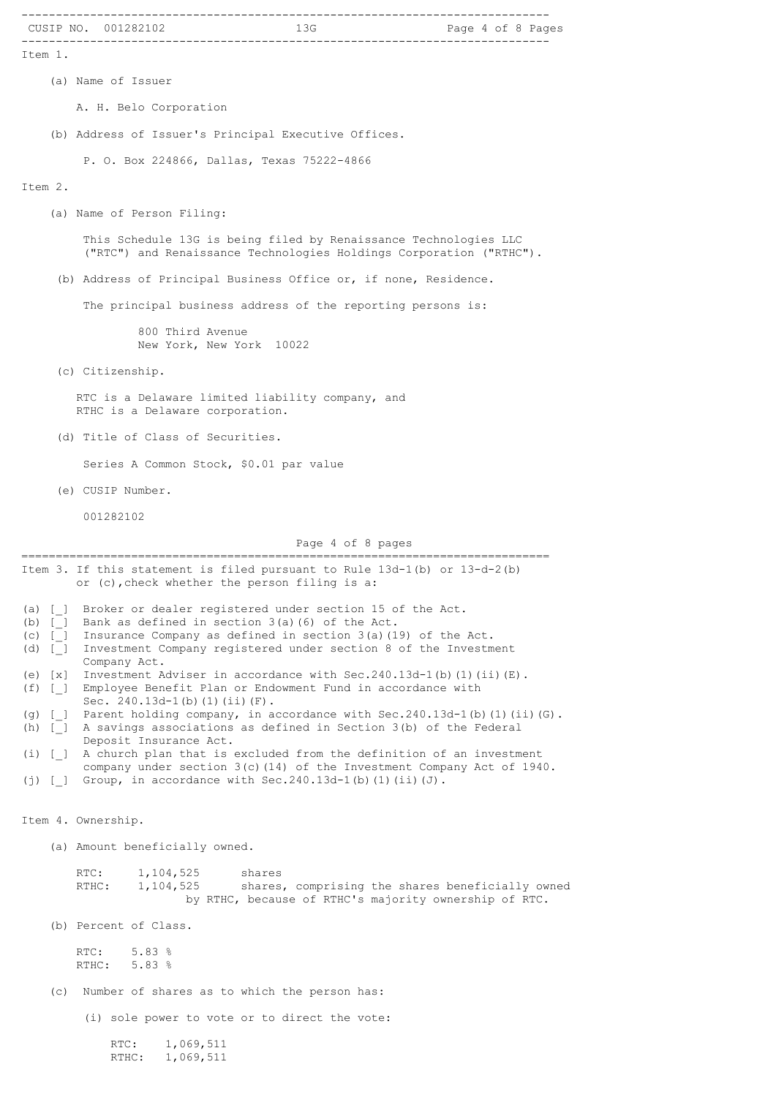|                        | CUSIP NO. 001282102                                                                                                                                            |
|------------------------|----------------------------------------------------------------------------------------------------------------------------------------------------------------|
| Item 1.                |                                                                                                                                                                |
|                        | (a) Name of Issuer                                                                                                                                             |
|                        | A. H. Belo Corporation                                                                                                                                         |
|                        | (b) Address of Issuer's Principal Executive Offices.                                                                                                           |
|                        | P. O. Box 224866, Dallas, Texas 75222-4866                                                                                                                     |
| Item 2.                |                                                                                                                                                                |
|                        | (a) Name of Person Filing:                                                                                                                                     |
|                        | This Schedule 13G is being filed by Renaissance Technologies LLC<br>("RTC") and Renaissance Technologies Holdings Corporation ("RTHC").                        |
|                        | (b) Address of Principal Business Office or, if none, Residence.                                                                                               |
|                        | The principal business address of the reporting persons is:                                                                                                    |
|                        | 800 Third Avenue<br>New York, New York 10022                                                                                                                   |
|                        | (c) Citizenship.                                                                                                                                               |
|                        | RTC is a Delaware limited liability company, and<br>RTHC is a Delaware corporation.                                                                            |
|                        | (d) Title of Class of Securities.                                                                                                                              |
|                        | Series A Common Stock, \$0.01 par value                                                                                                                        |
|                        | (e) CUSIP Number.                                                                                                                                              |
|                        | 001282102                                                                                                                                                      |
|                        | Page 4 of 8 pages                                                                                                                                              |
|                        | Item 3. If this statement is filed pursuant to Rule $13d-1(b)$ or $13-d-2(b)$<br>or (c), check whether the person filing is a:                                 |
| $(a)$ [ ]<br>$(b)$ [ ] | Broker or dealer registered under section 15 of the Act.<br>Bank as defined in section 3(a) (6) of the Act.                                                    |
| $(c)$ [ ]<br>$(d)$ [ ] | Insurance Company as defined in section $3(a)$ (19) of the Act.<br>Investment Company registered under section 8 of the Investment                             |
| $(e)$ $[x]$            | Company Act.<br>Investment Adviser in accordance with Sec. $240.13d-1$ (b) (1) (ii) (E).                                                                       |
| $(f)$ [ ]              | Employee Benefit Plan or Endowment Fund in accordance with<br>Sec. $240.13d-1(b) (1) (ii) (F)$ .                                                               |
| $(h)$ [ ]              | (g) [_] Parent holding company, in accordance with Sec.240.13d-1(b)(1)(ii)(G).<br>A savings associations as defined in Section 3(b) of the Federal             |
| $(i)$ [ ]              | Deposit Insurance Act.<br>A church plan that is excluded from the definition of an investment                                                                  |
| $(j)$ [ ]              | company under section 3(c) (14) of the Investment Company Act of 1940.<br>Group, in accordance with $Sec.240.13d-1(b)$ (1) (ii) (J).                           |
|                        | Item 4. Ownership.                                                                                                                                             |
|                        | (a) Amount beneficially owned.                                                                                                                                 |
|                        | 1,104,525<br>RTC:<br>shares<br>1,104,525<br>shares, comprising the shares beneficially owned<br>RTHC:<br>by RTHC, because of RTHC's majority ownership of RTC. |
|                        | (b) Percent of Class.                                                                                                                                          |
|                        | 5.83%<br>RTC:<br>5.83%<br>RTHC:                                                                                                                                |
| (c)                    | Number of shares as to which the person has:                                                                                                                   |
|                        | (i) sole power to vote or to direct the vote:                                                                                                                  |
|                        | $RTC$ :<br>1,069,511<br>1,069,511<br>$RTHC$ :                                                                                                                  |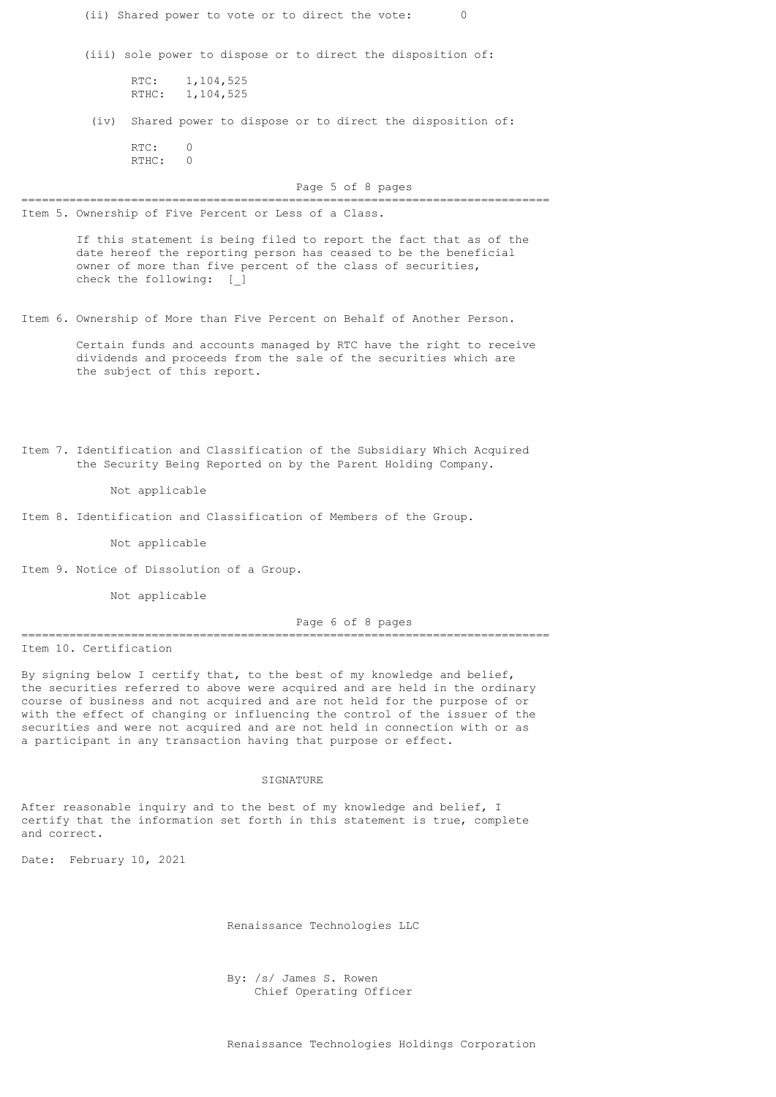| (ii) Shared power to vote or to direct the vote:<br>0                                                                                                                                                                                                                                                                                                                                                                                                                 |
|-----------------------------------------------------------------------------------------------------------------------------------------------------------------------------------------------------------------------------------------------------------------------------------------------------------------------------------------------------------------------------------------------------------------------------------------------------------------------|
| (iii) sole power to dispose or to direct the disposition of:                                                                                                                                                                                                                                                                                                                                                                                                          |
| RTC:<br>1,104,525<br>RTHC: 1, 104, 525                                                                                                                                                                                                                                                                                                                                                                                                                                |
| (iv) Shared power to dispose or to direct the disposition of:                                                                                                                                                                                                                                                                                                                                                                                                         |
| RTC:<br>0<br>RTHC: 0                                                                                                                                                                                                                                                                                                                                                                                                                                                  |
| Page 5 of 8 pages                                                                                                                                                                                                                                                                                                                                                                                                                                                     |
| Item 5. Ownership of Five Percent or Less of a Class.                                                                                                                                                                                                                                                                                                                                                                                                                 |
| If this statement is being filed to report the fact that as of the<br>date hereof the reporting person has ceased to be the beneficial<br>owner of more than five percent of the class of securities,<br>check the following: [ ]                                                                                                                                                                                                                                     |
| Item 6. Ownership of More than Five Percent on Behalf of Another Person.                                                                                                                                                                                                                                                                                                                                                                                              |
| Certain funds and accounts managed by RTC have the right to receive<br>dividends and proceeds from the sale of the securities which are<br>the subject of this report.                                                                                                                                                                                                                                                                                                |
| Item 7. Identification and Classification of the Subsidiary Which Acquired<br>the Security Being Reported on by the Parent Holding Company.<br>Not applicable                                                                                                                                                                                                                                                                                                         |
| Item 8. Identification and Classification of Members of the Group.                                                                                                                                                                                                                                                                                                                                                                                                    |
| Not applicable                                                                                                                                                                                                                                                                                                                                                                                                                                                        |
| Item 9. Notice of Dissolution of a Group.                                                                                                                                                                                                                                                                                                                                                                                                                             |
| Not applicable                                                                                                                                                                                                                                                                                                                                                                                                                                                        |
| Page 6 of 8 pages                                                                                                                                                                                                                                                                                                                                                                                                                                                     |
| Item 10. Certification                                                                                                                                                                                                                                                                                                                                                                                                                                                |
| By signing below I certify that, to the best of my knowledge and belief,<br>the securities referred to above were acquired and are held in the ordinary<br>course of business and not acquired and are not held for the purpose of or<br>with the effect of changing or influencing the control of the issuer of the<br>securities and were not acquired and are not held in connection with or as<br>a participant in any transaction having that purpose or effect. |
| SIGNATURE                                                                                                                                                                                                                                                                                                                                                                                                                                                             |
| After reasonable inquiry and to the best of my knowledge and belief, I<br>certify that the information set forth in this statement is true, complete                                                                                                                                                                                                                                                                                                                  |

certify that the information set forth in this statement is true, complete and correct.

Date: February 10, 2021

Renaissance Technologies LLC

 By: /s/ James S. Rowen Chief Operating Officer